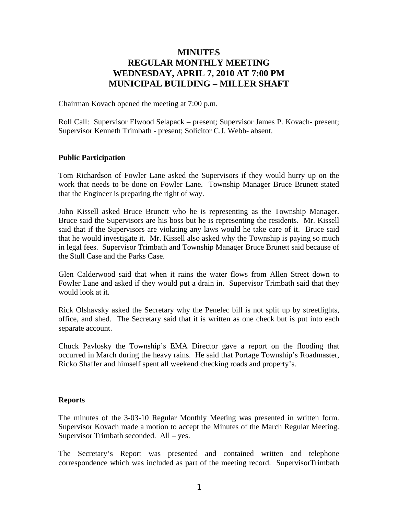# **MINUTES REGULAR MONTHLY MEETING WEDNESDAY, APRIL 7, 2010 AT 7:00 PM MUNICIPAL BUILDING – MILLER SHAFT**

Chairman Kovach opened the meeting at 7:00 p.m.

Roll Call: Supervisor Elwood Selapack – present; Supervisor James P. Kovach- present; Supervisor Kenneth Trimbath - present; Solicitor C.J. Webb- absent.

#### **Public Participation**

Tom Richardson of Fowler Lane asked the Supervisors if they would hurry up on the work that needs to be done on Fowler Lane. Township Manager Bruce Brunett stated that the Engineer is preparing the right of way.

John Kissell asked Bruce Brunett who he is representing as the Township Manager. Bruce said the Supervisors are his boss but he is representing the residents. Mr. Kissell said that if the Supervisors are violating any laws would he take care of it. Bruce said that he would investigate it. Mr. Kissell also asked why the Township is paying so much in legal fees. Supervisor Trimbath and Township Manager Bruce Brunett said because of the Stull Case and the Parks Case.

Glen Calderwood said that when it rains the water flows from Allen Street down to Fowler Lane and asked if they would put a drain in. Supervisor Trimbath said that they would look at it.

Rick Olshavsky asked the Secretary why the Penelec bill is not split up by streetlights, office, and shed. The Secretary said that it is written as one check but is put into each separate account.

Chuck Pavlosky the Township's EMA Director gave a report on the flooding that occurred in March during the heavy rains. He said that Portage Township's Roadmaster, Ricko Shaffer and himself spent all weekend checking roads and property's.

#### **Reports**

The minutes of the 3-03-10 Regular Monthly Meeting was presented in written form. Supervisor Kovach made a motion to accept the Minutes of the March Regular Meeting. Supervisor Trimbath seconded. All – yes.

The Secretary's Report was presented and contained written and telephone correspondence which was included as part of the meeting record. SupervisorTrimbath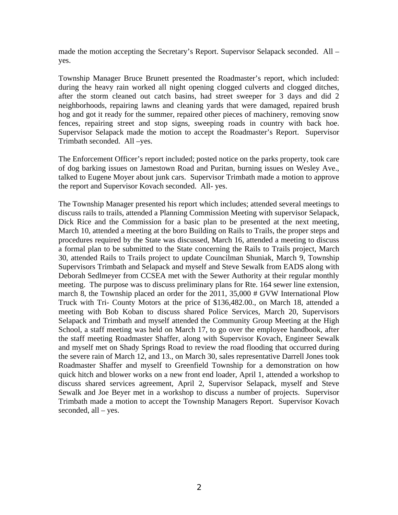made the motion accepting the Secretary's Report. Supervisor Selapack seconded. All – yes.

Township Manager Bruce Brunett presented the Roadmaster's report, which included: during the heavy rain worked all night opening clogged culverts and clogged ditches, after the storm cleaned out catch basins, had street sweeper for 3 days and did 2 neighborhoods, repairing lawns and cleaning yards that were damaged, repaired brush hog and got it ready for the summer, repaired other pieces of machinery, removing snow fences, repairing street and stop signs, sweeping roads in country with back hoe. Supervisor Selapack made the motion to accept the Roadmaster's Report. Supervisor Trimbath seconded. All –yes.

The Enforcement Officer's report included; posted notice on the parks property, took care of dog barking issues on Jamestown Road and Puritan, burning issues on Wesley Ave., talked to Eugene Moyer about junk cars. Supervisor Trimbath made a motion to approve the report and Supervisor Kovach seconded. All- yes.

The Township Manager presented his report which includes; attended several meetings to discuss rails to trails, attended a Planning Commission Meeting with supervisor Selapack, Dick Rice and the Commission for a basic plan to be presented at the next meeting, March 10, attended a meeting at the boro Building on Rails to Trails, the proper steps and procedures required by the State was discussed, March 16, attended a meeting to discuss a formal plan to be submitted to the State concerning the Rails to Trails project, March 30, attended Rails to Trails project to update Councilman Shuniak, March 9, Township Supervisors Trimbath and Selapack and myself and Steve Sewalk from EADS along with Deborah Sedlmeyer from CCSEA met with the Sewer Authority at their regular monthly meeting. The purpose was to discuss preliminary plans for Rte. 164 sewer line extension, march 8, the Township placed an order for the 2011, 35,000 # GVW International Plow Truck with Tri- County Motors at the price of \$136,482.00., on March 18, attended a meeting with Bob Koban to discuss shared Police Services, March 20, Supervisors Selapack and Trimbath and myself attended the Community Group Meeting at the High School, a staff meeting was held on March 17, to go over the employee handbook, after the staff meeting Roadmaster Shaffer, along with Supervisor Kovach, Engineer Sewalk and myself met on Shady Springs Road to review the road flooding that occurred during the severe rain of March 12, and 13., on March 30, sales representative Darrell Jones took Roadmaster Shaffer and myself to Greenfield Township for a demonstration on how quick hitch and blower works on a new front end loader, April 1, attended a workshop to discuss shared services agreement, April 2, Supervisor Selapack, myself and Steve Sewalk and Joe Beyer met in a workshop to discuss a number of projects. Supervisor Trimbath made a motion to accept the Township Managers Report. Supervisor Kovach seconded, all – yes.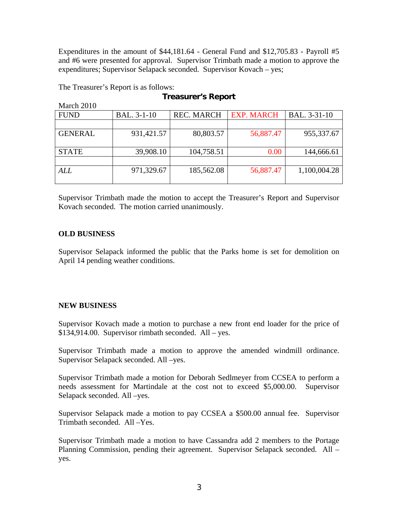Expenditures in the amount of \$44,181.64 - General Fund and \$12,705.83 - Payroll #5 and #6 were presented for approval. Supervisor Trimbath made a motion to approve the expenditures; Supervisor Selapack seconded. Supervisor Kovach – yes;

The Treasurer's Report is as follows:

## **Treasurer's Report**

| March 2010     |             |                   |                   |              |
|----------------|-------------|-------------------|-------------------|--------------|
| <b>FUND</b>    | BAL. 3-1-10 | <b>REC. MARCH</b> | <b>EXP. MARCH</b> | BAL. 3-31-10 |
|                |             |                   |                   |              |
| <b>GENERAL</b> | 931,421.57  | 80,803.57         | 56,887.47         | 955,337.67   |
|                |             |                   |                   |              |
| <b>STATE</b>   | 39,908.10   | 104,758.51        | 0.00              | 144,666.61   |
|                |             |                   |                   |              |
| ALL            | 971,329.67  | 185,562.08        | 56,887.47         | 1,100,004.28 |
|                |             |                   |                   |              |

Supervisor Trimbath made the motion to accept the Treasurer's Report and Supervisor Kovach seconded. The motion carried unanimously.

### **OLD BUSINESS**

Supervisor Selapack informed the public that the Parks home is set for demolition on April 14 pending weather conditions.

### **NEW BUSINESS**

Supervisor Kovach made a motion to purchase a new front end loader for the price of \$134,914.00. Supervisor rimbath seconded. All – yes.

Supervisor Trimbath made a motion to approve the amended windmill ordinance. Supervisor Selapack seconded. All –yes.

Supervisor Trimbath made a motion for Deborah Sedlmeyer from CCSEA to perform a needs assessment for Martindale at the cost not to exceed \$5,000.00. Supervisor Selapack seconded. All –yes.

Supervisor Selapack made a motion to pay CCSEA a \$500.00 annual fee. Supervisor Trimbath seconded. All –Yes.

Supervisor Trimbath made a motion to have Cassandra add 2 members to the Portage Planning Commission, pending their agreement. Supervisor Selapack seconded. All – yes.